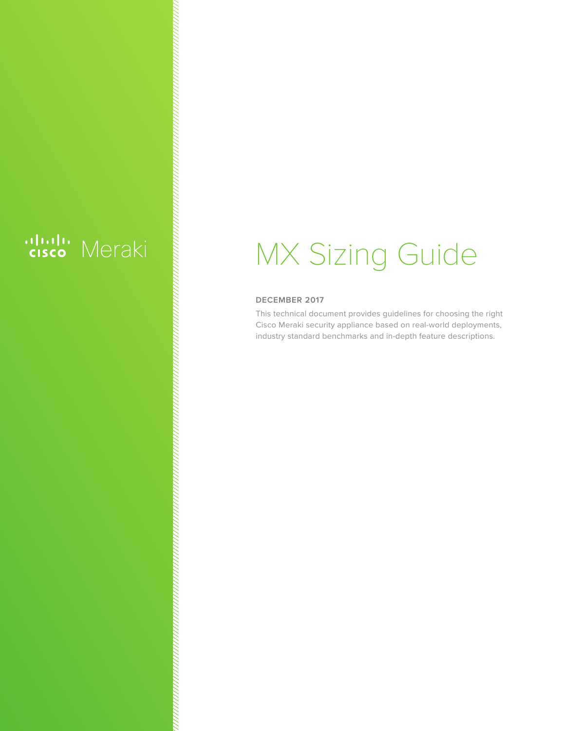# ululu Meraki

# MX Sizing Guide

#### **DECEMBER 2017**

This technical document provides guidelines for choosing the right Cisco Meraki security appliance based on real-world deployments, industry standard benchmarks and in-depth feature descriptions.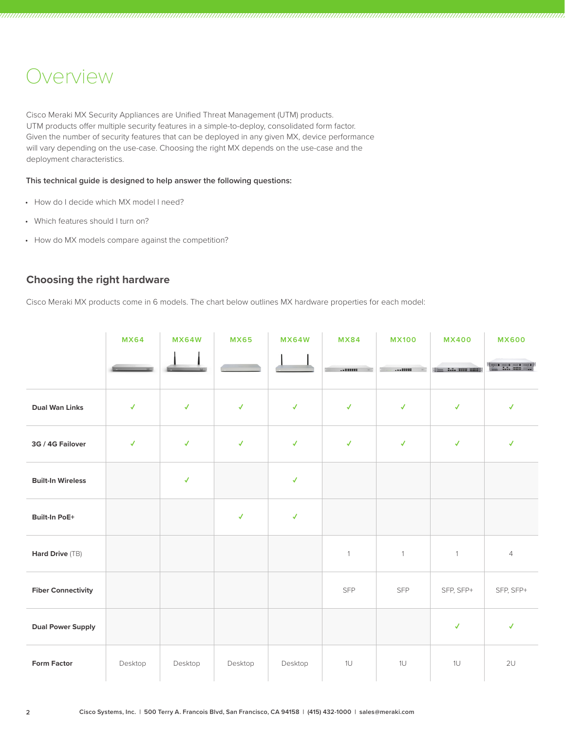### Overview

Cisco Meraki MX Security Appliances are Unified Threat Management (UTM) products. UTM products offer multiple security features in a simple-to-deploy, consolidated form factor. Given the number of security features that can be deployed in any given MX, device performance will vary depending on the use-case. Choosing the right MX depends on the use-case and the deployment characteristics.

#### **This technical guide is designed to help answer the following questions:**

- How do I decide which MX model I need?
- Which features should I turn on?
- How do MX models compare against the competition?

#### **Choosing the right hardware**

Cisco Meraki MX products come in 6 models. The chart below outlines MX hardware properties for each model:

|                           | <b>MX64</b>  | <b>MX64W</b> | <b>MX65</b>  | <b>MX64W</b> | <b>MX84</b>  | <b>MX100</b> | <b>MX400</b>                 | <b>MX600</b>           |
|---------------------------|--------------|--------------|--------------|--------------|--------------|--------------|------------------------------|------------------------|
|                           |              |              |              |              |              |              | <b>Time 2.2. (1715 2222)</b> | <b>Barbara Barbara</b> |
| <b>Dual Wan Links</b>     | $\checkmark$ | $\checkmark$ | $\checkmark$ | $\checkmark$ | $\checkmark$ | $\checkmark$ | $\checkmark$                 | $\checkmark$           |
| 3G / 4G Failover          | $\checkmark$ | $\checkmark$ | $\checkmark$ | $\checkmark$ | $\checkmark$ | $\checkmark$ | $\checkmark$                 | $\checkmark$           |
| <b>Built-In Wireless</b>  |              | $\checkmark$ |              | $\checkmark$ |              |              |                              |                        |
| <b>Built-In PoE+</b>      |              |              | $\checkmark$ | $\checkmark$ |              |              |                              |                        |
| Hard Drive (TB)           |              |              |              |              | $\mathbf{1}$ | $\mathbf{1}$ | $\mathbf{1}$                 | $\overline{4}$         |
| <b>Fiber Connectivity</b> |              |              |              |              | <b>SFP</b>   | <b>SFP</b>   | SFP, SFP+                    | SFP, SFP+              |
| <b>Dual Power Supply</b>  |              |              |              |              |              |              | $\checkmark$                 | $\checkmark$           |
| <b>Form Factor</b>        | Desktop      | Desktop      | Desktop      | Desktop      | 1U           | 1U           | 1U                           | 2U                     |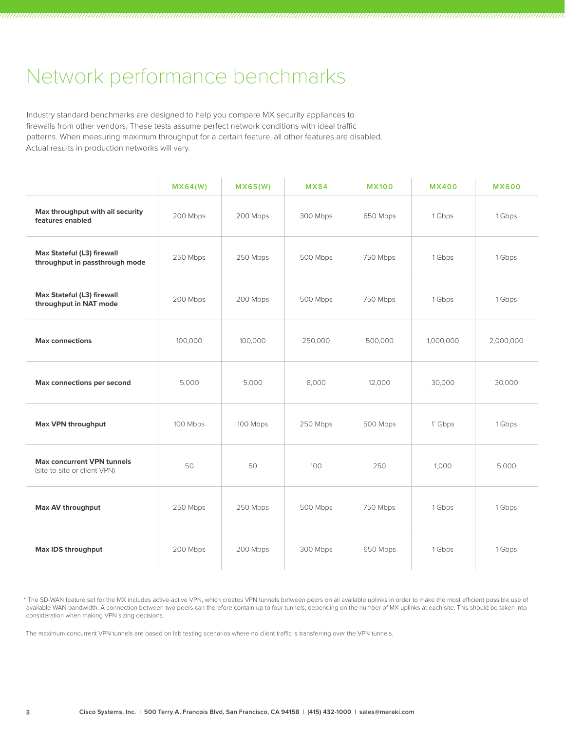## Network performance benchmarks

Industry standard benchmarks are designed to help you compare MX security appliances to firewalls from other vendors. These tests assume perfect network conditions with ideal traffic patterns. When measuring maximum throughput for a certain feature, all other features are disabled. Actual results in production networks will vary.

|                                                                   | MX64(W)  | MX65(W)  | <b>MX84</b> | <b>MX100</b> | <b>MX400</b> | <b>MX600</b> |
|-------------------------------------------------------------------|----------|----------|-------------|--------------|--------------|--------------|
| Max throughput with all security<br>features enabled              | 200 Mbps | 200 Mbps | 300 Mbps    | 650 Mbps     | 1 Gbps       | 1 Gbps       |
| Max Stateful (L3) firewall<br>throughput in passthrough mode      | 250 Mbps | 250 Mbps | 500 Mbps    | 750 Mbps     | 1 Gbps       | 1 Gbps       |
| Max Stateful (L3) firewall<br>throughput in NAT mode              | 200 Mbps | 200 Mbps | 500 Mbps    | 750 Mbps     | 1 Gbps       | 1 Gbps       |
| <b>Max connections</b>                                            | 100,000  | 100,000  | 250,000     | 500,000      | 1,000,000    | 2,000,000    |
| Max connections per second                                        | 5,000    | 5,000    | 8,000       | 12,000       | 30,000       | 30,000       |
| Max VPN throughput                                                | 100 Mbps | 100 Mbps | 250 Mbps    | 500 Mbps     | 1`Gbps       | 1 Gbps       |
| <b>Max concurrent VPN tunnels</b><br>(site-to-site or client VPN) | 50       | 50       | 100         | 250          | 1,000        | 5,000        |
| Max AV throughput                                                 | 250 Mbps | 250 Mbps | 500 Mbps    | 750 Mbps     | 1 Gbps       | 1 Gbps       |
| Max IDS throughput                                                | 200 Mbps | 200 Mbps | 300 Mbps    | 650 Mbps     | 1 Gbps       | 1 Gbps       |

\* The SD-WAN feature set for the MX includes active-active VPN, which creates VPN tunnels between peers on all available uplinks in order to make the most efficient possible use of available WAN bandwidth. A connection between two peers can therefore contain up to four tunnels, depending on the number of MX uplinks at each site. This should be taken into consideration when making VPN sizing decisions.

The maximum concurrent VPN tunnels are based on lab testing scenarios where no client traffic is transferring over the VPN tunnels.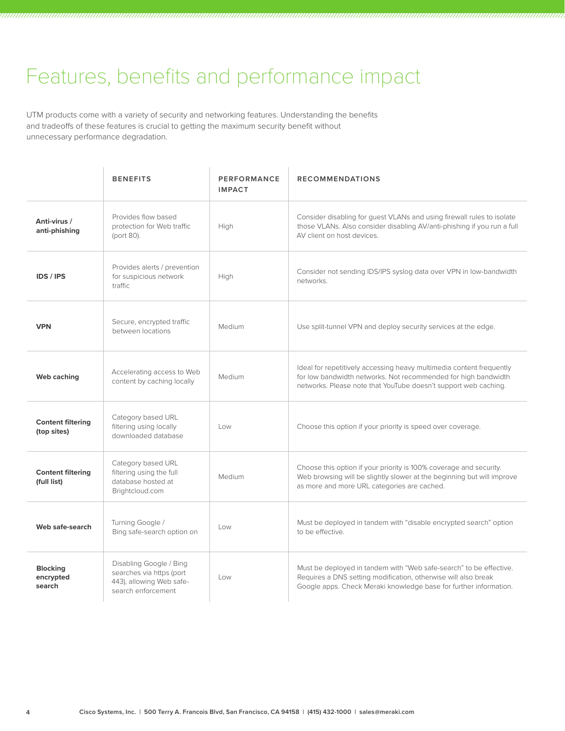# Features, benefits and performance impact

UTM products come with a variety of security and networking features. Understanding the benefits and tradeoffs of these features is crucial to getting the maximum security benefit without unnecessary performance degradation.

|                                         | <b>BENEFITS</b>                                                                                       | PERFORMANCE<br><b>IMPACT</b> | <b>RECOMMENDATIONS</b>                                                                                                                                                                                    |
|-----------------------------------------|-------------------------------------------------------------------------------------------------------|------------------------------|-----------------------------------------------------------------------------------------------------------------------------------------------------------------------------------------------------------|
| Anti-virus /<br>anti-phishing           | Provides flow based<br>protection for Web traffic<br>(port 80).                                       | High                         | Consider disabling for guest VLANs and using firewall rules to isolate<br>those VLANs. Also consider disabling AV/anti-phishing if you run a full<br>AV client on host devices.                           |
| <b>IDS / IPS</b>                        | Provides alerts / prevention<br>for suspicious network<br>traffic.                                    | High                         | Consider not sending IDS/IPS syslog data over VPN in low-bandwidth<br>networks.                                                                                                                           |
| <b>VPN</b>                              | Secure, encrypted traffic<br>between locations                                                        | Medium                       | Use split-tunnel VPN and deploy security services at the edge.                                                                                                                                            |
| Web caching                             | Accelerating access to Web<br>content by caching locally                                              | Medium                       | Ideal for repetitively accessing heavy multimedia content frequently<br>for low bandwidth networks. Not recommended for high bandwidth<br>networks. Please note that YouTube doesn't support web caching. |
| <b>Content filtering</b><br>(top sites) | Category based URL<br>filtering using locally<br>downloaded database                                  | Low                          | Choose this option if your priority is speed over coverage.                                                                                                                                               |
| <b>Content filtering</b><br>(full list) | Category based URL<br>filtering using the full<br>database hosted at<br>Brightcloud.com               | Medium                       | Choose this option if your priority is 100% coverage and security.<br>Web browsing will be slightly slower at the beginning but will improve<br>as more and more URL categories are cached.               |
| Web safe-search                         | Turning Google /<br>Bing safe-search option on                                                        | Low                          | Must be deployed in tandem with "disable encrypted search" option<br>to be effective.                                                                                                                     |
| <b>Blocking</b><br>encrypted<br>search  | Disabling Google / Bing<br>searches via https (port<br>443), allowing Web safe-<br>search enforcement | Low                          | Must be deployed in tandem with "Web safe-search" to be effective.<br>Requires a DNS setting modification, otherwise will also break<br>Google apps. Check Meraki knowledge base for further information. |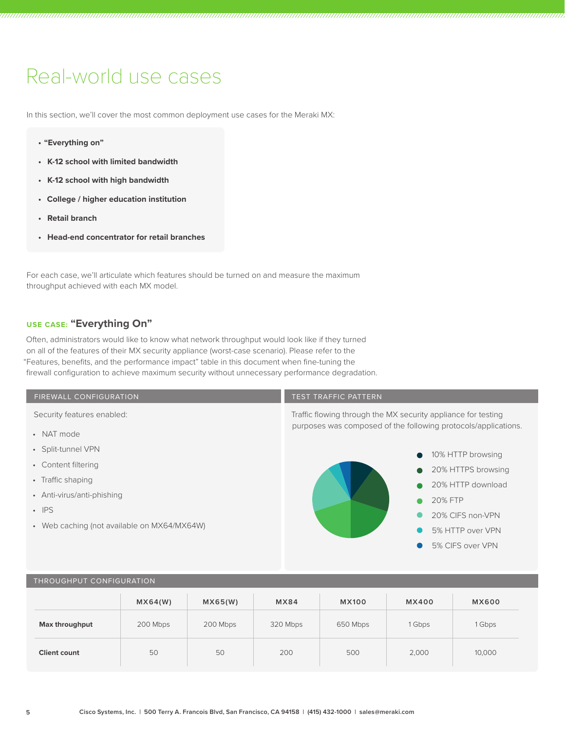# Real-world use cases

In this section, we'll cover the most common deployment use cases for the Meraki MX:

- **• "Everything on"**
- **• K-12 school with limited bandwidth**
- **• K-12 school with high bandwidth**
- **• College / higher education institution**
- **• Retail branch**
- **• Head-end concentrator for retail branches**

For each case, we'll articulate which features should be turned on and measure the maximum throughput achieved with each MX model.

#### **USE CASE: "Everything On"**

Often, administrators would like to know what network throughput would look like if they turned on all of the features of their MX security appliance (worst-case scenario). Please refer to the "Features, benefits, and the performance impact" table in this document when fine-tuning the firewall configuration to achieve maximum security without unnecessary performance degradation.



#### THROUGHPUT CONFIGURATION

|                     | MX64(W)  | MX65(W)  | MX84     | <b>MX100</b> | <b>MX400</b> | <b>MX600</b> |
|---------------------|----------|----------|----------|--------------|--------------|--------------|
| Max throughput      | 200 Mbps | 200 Mbps | 320 Mbps | 650 Mbps     | 1 Gbps       | 1 Gbps       |
| <b>Client count</b> | 50       | 50       | 200      | 500          | 2,000        | 10,000       |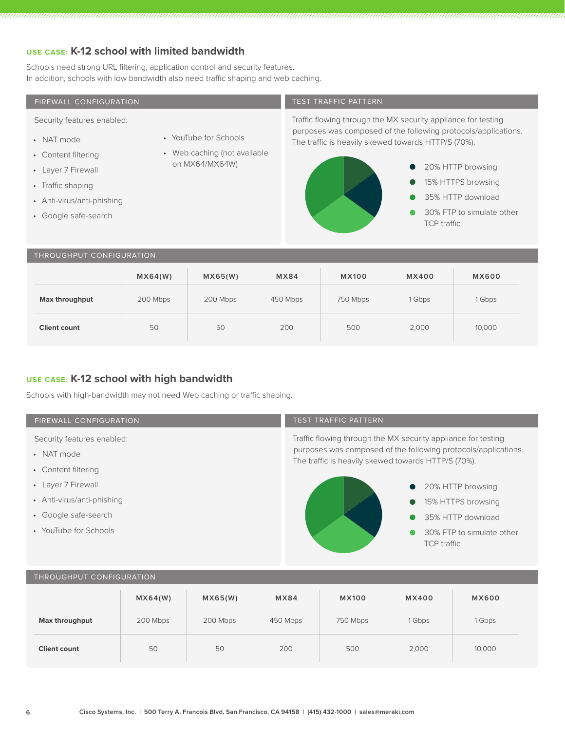#### **USE CASE: K-12 school with limited bandwidth**

Schools need strong URL filtering, application control and security features. In addition, schools with low bandwidth also need traffic shaping and web caching.

#### TEST TRAFFIC PATTERN Traffic flowing through the MX security appliance for testing purposes was composed of the following protocols/applications. The traffic is heavily skewed towards HTTP/S (70%). **MX64(W) MX65(W) MX84 MX100 MX400 MX600 Max throughput** 200 Mbps 200 Mbps 450 Mbps 750 Mbps 1 Gbps 1 Gbps 1 Gbps FIREWALL CONFIGURATION Security features enabled: • NAT mode • Content filtering • Layer 7 Firewall • Traffic shaping • Anti-virus/anti-phishing • Google safe-search • YouTube for Schools • Web caching (not available on MX64/MX64W) THROUGHPUT CONFIGURATION 20% HTTP browsing 15% HTTPS browsing 35% HTTP download 30% FTP to simulate other TCP traffic

**Client count 50 50 200 500 2,000 10,000** 

|  |  |  | USE CASE: K-12 school with high bandwidth |
|--|--|--|-------------------------------------------|

Schools with high-bandwidth may not need Web caching or traffic shaping.

#### FIREWALL CONFIGURATION

Security features enabled:

- NAT mode
- Content filtering
- Layer 7 Firewall
- Anti-virus/anti-phishing
- Google safe-search
- YouTube for Schools

#### TEST TRAFFIC PATTERN

Traffic flowing through the MX security appliance for testing purposes was composed of the following protocols/applications. The traffic is heavily skewed towards HTTP/S (70%).



#### THROUGHPUT CONFIGURATION

|                     | MX64(W)  | MX65(W)  | MX84     | <b>MX100</b> | <b>MX400</b> | <b>MX600</b> |
|---------------------|----------|----------|----------|--------------|--------------|--------------|
| Max throughput      | 200 Mbps | 200 Mbps | 450 Mbps | 750 Mbps     | 1 Gbps       | 1 Gbps       |
| <b>Client count</b> | 50       | 50       | 200      | 500          | 2,000        | 10,000       |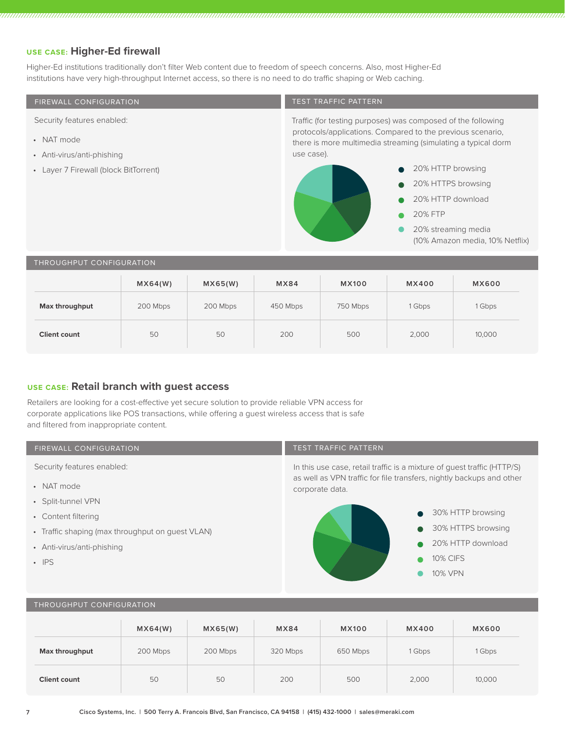#### **USE CASE: Higher-Ed firewall**

Higher-Ed institutions traditionally don't filter Web content due to freedom of speech concerns. Also, most Higher-Ed institutions have very high-throughput Internet access, so there is no need to do traffic shaping or Web caching.

| FIREWALL CONFIGURATION                   |          |          |             | <b>TEST TRAFFIC PATTERN</b>                                                                                                               |                     |                                 |  |  |
|------------------------------------------|----------|----------|-------------|-------------------------------------------------------------------------------------------------------------------------------------------|---------------------|---------------------------------|--|--|
| Security features enabled:               |          |          |             | Traffic (for testing purposes) was composed of the following                                                                              |                     |                                 |  |  |
| • NAT mode<br>• Anti-virus/anti-phishing |          |          |             | protocols/applications. Compared to the previous scenario,<br>there is more multimedia streaming (simulating a typical dorm<br>use case). |                     |                                 |  |  |
| • Layer 7 Firewall (block BitTorrent)    |          |          |             |                                                                                                                                           | 20% HTTP browsing   |                                 |  |  |
|                                          |          |          |             |                                                                                                                                           | 20% HTTPS browsing  |                                 |  |  |
|                                          |          |          |             |                                                                                                                                           | 20% HTTP download   |                                 |  |  |
|                                          |          |          |             |                                                                                                                                           | <b>20% FTP</b>      |                                 |  |  |
|                                          |          |          |             |                                                                                                                                           | 20% streaming media | (10% Amazon media, 10% Netflix) |  |  |
| THROUGHPUT CONFIGURATION                 |          |          |             |                                                                                                                                           |                     |                                 |  |  |
|                                          | MX64(W)  | MX65(W)  | <b>MX84</b> | <b>MX100</b>                                                                                                                              | <b>MX400</b>        | <b>MX600</b>                    |  |  |
| Max throughput                           | 200 Mbps | 200 Mbps | 450 Mbps    | 750 Mbps                                                                                                                                  | 1 Gbps              | 1 Gbps                          |  |  |

**Client count 50 50 200 500 2,000 10,000** 

#### **USE CASE: Retail branch with guest access**

Retailers are looking for a cost-effective yet secure solution to provide reliable VPN access for corporate applications like POS transactions, while offering a guest wireless access that is safe and filtered from inappropriate content.

#### FIREWALL CONFIGURATION

Security features enabled:

- NAT mode
- Split-tunnel VPN
- Content filtering
- Traffic shaping (max throughput on guest VLAN)
- Anti-virus/anti-phishing
- IPS

#### TEST TRAFFIC PATTERN

In this use case, retail traffic is a mixture of guest traffic (HTTP/S) as well as VPN traffic for file transfers, nightly backups and other corporate data.



#### THROUGHPUT CONFIGURATION

|                     | MX64(W)  | MX65(W)  | MX84     | <b>MX100</b> | <b>MX400</b> | <b>MX600</b> |
|---------------------|----------|----------|----------|--------------|--------------|--------------|
| Max throughput      | 200 Mbps | 200 Mbps | 320 Mbps | 650 Mbps     | 1 Gbps       | 1 Gbps       |
| <b>Client count</b> | 50       | 50       | 200      | 500          | 2,000        | 10,000       |